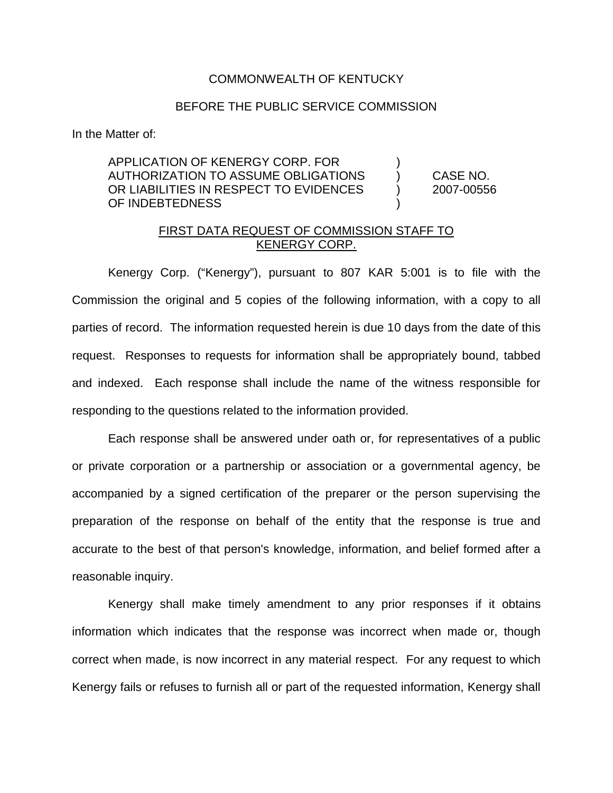## COMMONWEALTH OF KENTUCKY

## BEFORE THE PUBLIC SERVICE COMMISSION

In the Matter of:

## APPLICATION OF KENERGY CORP. FOR ) AUTHORIZATION TO ASSUME OBLIGATIONS ) CASE NO. OR LIABILITIES IN RESPECT TO EVIDENCES (2007-00556 OF INDEBTEDNESS

## FIRST DATA REQUEST OF COMMISSION STAFF TO KENERGY CORP.

Kenergy Corp. ("Kenergy"), pursuant to 807 KAR 5:001 is to file with the Commission the original and 5 copies of the following information, with a copy to all parties of record. The information requested herein is due 10 days from the date of this request. Responses to requests for information shall be appropriately bound, tabbed and indexed. Each response shall include the name of the witness responsible for responding to the questions related to the information provided.

Each response shall be answered under oath or, for representatives of a public or private corporation or a partnership or association or a governmental agency, be accompanied by a signed certification of the preparer or the person supervising the preparation of the response on behalf of the entity that the response is true and accurate to the best of that person's knowledge, information, and belief formed after a reasonable inquiry.

Kenergy shall make timely amendment to any prior responses if it obtains information which indicates that the response was incorrect when made or, though correct when made, is now incorrect in any material respect. For any request to which Kenergy fails or refuses to furnish all or part of the requested information, Kenergy shall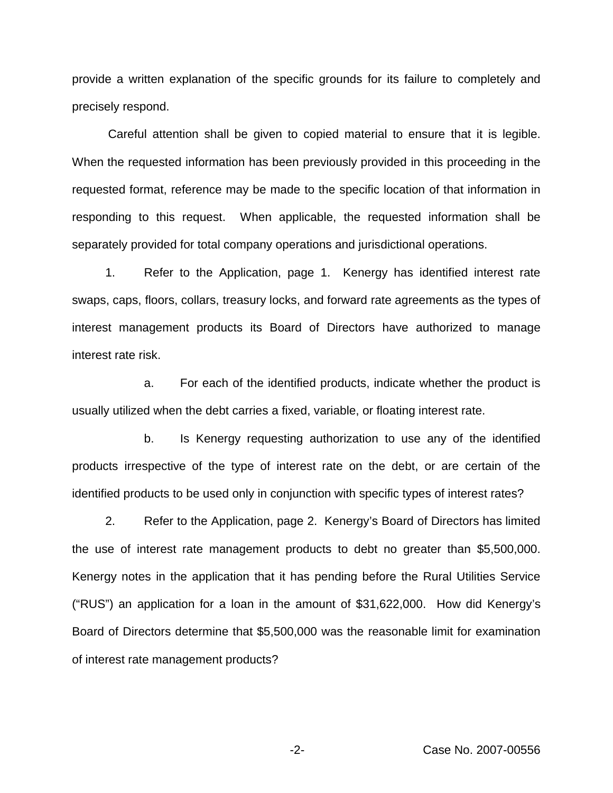provide a written explanation of the specific grounds for its failure to completely and precisely respond.

Careful attention shall be given to copied material to ensure that it is legible. When the requested information has been previously provided in this proceeding in the requested format, reference may be made to the specific location of that information in responding to this request. When applicable, the requested information shall be separately provided for total company operations and jurisdictional operations.

1. Refer to the Application, page 1. Kenergy has identified interest rate swaps, caps, floors, collars, treasury locks, and forward rate agreements as the types of interest management products its Board of Directors have authorized to manage interest rate risk.

a. For each of the identified products, indicate whether the product is usually utilized when the debt carries a fixed, variable, or floating interest rate.

b. Is Kenergy requesting authorization to use any of the identified products irrespective of the type of interest rate on the debt, or are certain of the identified products to be used only in conjunction with specific types of interest rates?

2. Refer to the Application, page 2. Kenergy's Board of Directors has limited the use of interest rate management products to debt no greater than \$5,500,000. Kenergy notes in the application that it has pending before the Rural Utilities Service ("RUS") an application for a loan in the amount of \$31,622,000. How did Kenergy's Board of Directors determine that \$5,500,000 was the reasonable limit for examination of interest rate management products?

-2- Case No. 2007-00556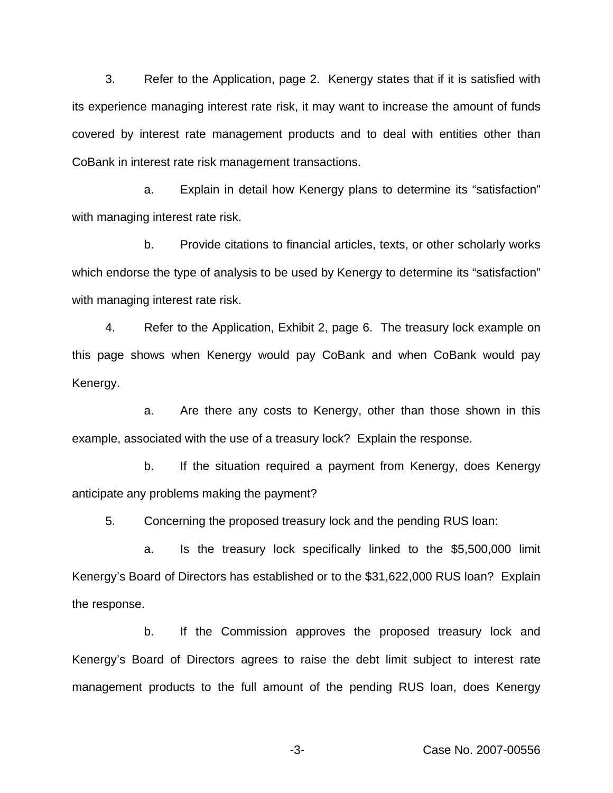3. Refer to the Application, page 2. Kenergy states that if it is satisfied with its experience managing interest rate risk, it may want to increase the amount of funds covered by interest rate management products and to deal with entities other than CoBank in interest rate risk management transactions.

a. Explain in detail how Kenergy plans to determine its "satisfaction" with managing interest rate risk.

b. Provide citations to financial articles, texts, or other scholarly works which endorse the type of analysis to be used by Kenergy to determine its "satisfaction" with managing interest rate risk.

4. Refer to the Application, Exhibit 2, page 6. The treasury lock example on this page shows when Kenergy would pay CoBank and when CoBank would pay Kenergy.

a. Are there any costs to Kenergy, other than those shown in this example, associated with the use of a treasury lock? Explain the response.

b. If the situation required a payment from Kenergy, does Kenergy anticipate any problems making the payment?

5. Concerning the proposed treasury lock and the pending RUS loan:

a. Is the treasury lock specifically linked to the \$5,500,000 limit Kenergy's Board of Directors has established or to the \$31,622,000 RUS loan? Explain the response.

b. If the Commission approves the proposed treasury lock and Kenergy's Board of Directors agrees to raise the debt limit subject to interest rate management products to the full amount of the pending RUS loan, does Kenergy

-3- Case No. 2007-00556